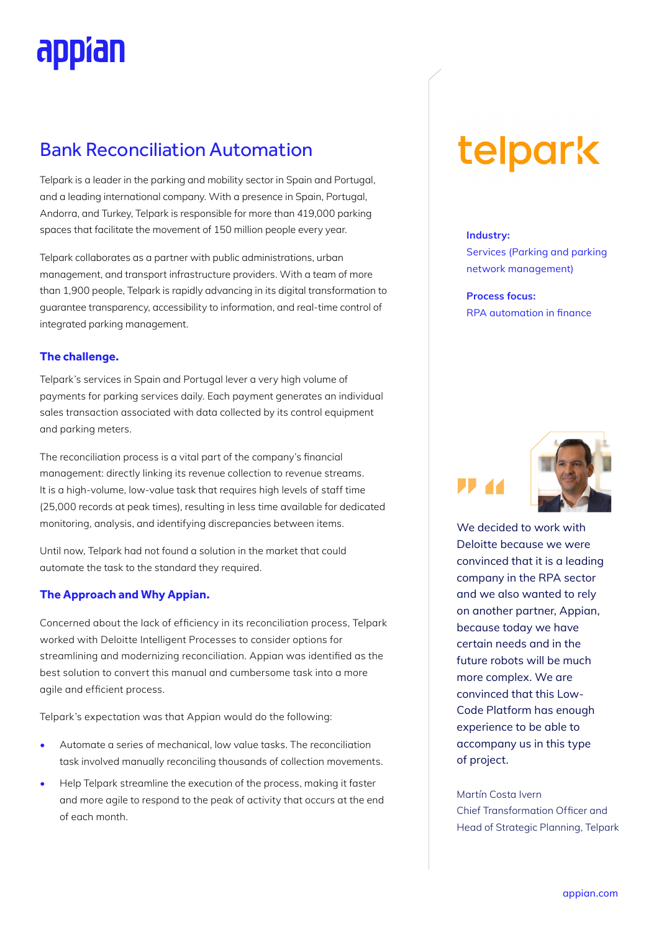# appïan

# Bank Reconciliation Automation

Telpark is a leader in the parking and mobility sector in Spain and Portugal, and a leading international company. With a presence in Spain, Portugal, Andorra, and Turkey, Telpark is responsible for more than 419,000 parking spaces that facilitate the movement of 150 million people every year.

Telpark collaborates as a partner with public administrations, urban management, and transport infrastructure providers. With a team of more than 1,900 people, Telpark is rapidly advancing in its digital transformation to guarantee transparency, accessibility to information, and real-time control of integrated parking management.

### **The challenge.**

Telpark's services in Spain and Portugal lever a very high volume of payments for parking services daily. Each payment generates an individual sales transaction associated with data collected by its control equipment and parking meters.

The reconciliation process is a vital part of the company's financial management: directly linking its revenue collection to revenue streams. It is a high-volume, low-value task that requires high levels of staff time (25,000 records at peak times), resulting in less time available for dedicated monitoring, analysis, and identifying discrepancies between items.

Until now, Telpark had not found a solution in the market that could automate the task to the standard they required.

### **The Approach and Why Appian.**

Concerned about the lack of efficiency in its reconciliation process, Telpark worked with Deloitte Intelligent Processes to consider options for streamlining and modernizing reconciliation. Appian was identified as the best solution to convert this manual and cumbersome task into a more agile and efficient process.

Telpark's expectation was that Appian would do the following:

- Automate a series of mechanical, low value tasks. The reconciliation task involved manually reconciling thousands of collection movements.
- Help Telpark streamline the execution of the process, making it faster and more agile to respond to the peak of activity that occurs at the end of each month.

# telpark

#### **Industry:**

Services (Parking and parking network management)

**Process focus:**  RPA automation in finance





We decided to work with Deloitte because we were convinced that it is a leading company in the RPA sector and we also wanted to rely on another partner, Appian, because today we have certain needs and in the future robots will be much more complex. We are convinced that this Low-Code Platform has enough experience to be able to accompany us in this type of project.

Martín Costa Ivern Chief Transformation Officer and Head of Strategic Planning, Telpark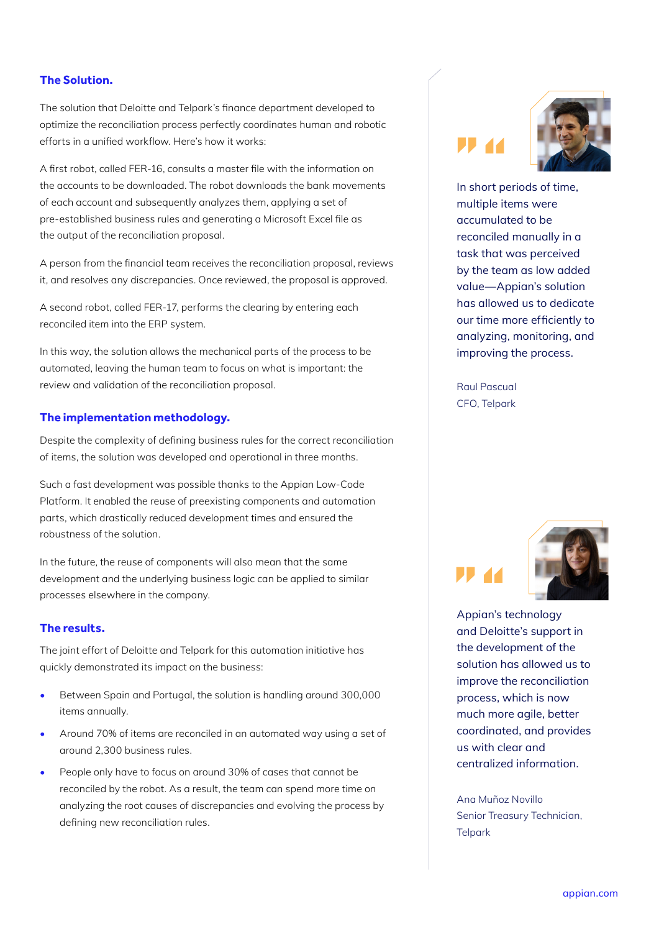The solution that Deloitte and Telpark's finance department developed to optimize the reconciliation process perfectly coordinates human and robotic efforts in a unified workflow. Here's how it works:

A first robot, called FER-16, consults a master file with the information on the accounts to be downloaded. The robot downloads the bank movements of each account and subsequently analyzes them, applying a set of pre-established business rules and generating a Microsoft Excel file as the output of the reconciliation proposal.

A person from the financial team receives the reconciliation proposal, reviews it, and resolves any discrepancies. Once reviewed, the proposal is approved.

A second robot, called FER-17, performs the clearing by entering each reconciled item into the ERP system.

In this way, the solution allows the mechanical parts of the process to be automated, leaving the human team to focus on what is important: the review and validation of the reconciliation proposal.

#### **The implementation methodology.**

Despite the complexity of defining business rules for the correct reconciliation of items, the solution was developed and operational in three months.

Such a fast development was possible thanks to the Appian Low-Code Platform. It enabled the reuse of preexisting components and automation parts, which drastically reduced development times and ensured the robustness of the solution.

In the future, the reuse of components will also mean that the same development and the underlying business logic can be applied to similar processes elsewhere in the company.

#### **The results.**

The joint effort of Deloitte and Telpark for this automation initiative has quickly demonstrated its impact on the business:

- Between Spain and Portugal, the solution is handling around 300,000 items annually.
- Around 70% of items are reconciled in an automated way using a set of around 2,300 business rules.
- People only have to focus on around 30% of cases that cannot be reconciled by the robot. As a result, the team can spend more time on analyzing the root causes of discrepancies and evolving the process by defining new reconciliation rules.





In short periods of time, multiple items were accumulated to be reconciled manually in a task that was perceived by the team as low added value—Appian's solution has allowed us to dedicate our time more efficiently to analyzing, monitoring, and improving the process.

Raul Pascual CFO, Telpark



Appian's technology and Deloitte's support in the development of the solution has allowed us to improve the reconciliation process, which is now much more agile, better coordinated, and provides us with clear and centralized information.

Ana Muñoz Novillo Senior Treasury Technician, **Telpark**